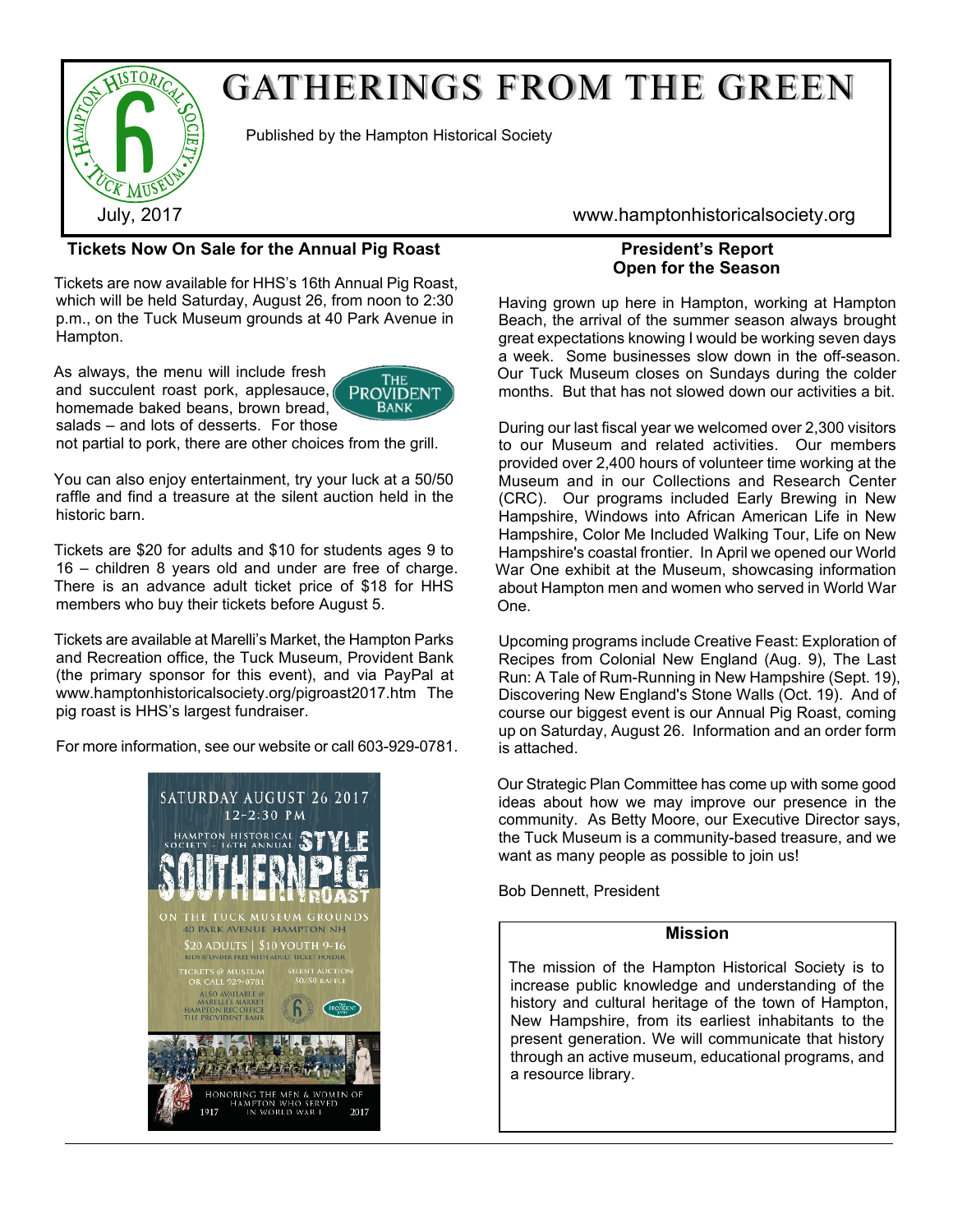

Published by the Hampton Historical Society

# **Tickets Now On Sale for the Annual Pig Roast**

Tickets are now available for HHS's 16th Annual Pig Roast, which will be held Saturday, August 26, from noon to 2:30 p.m., on the Tuck Museum grounds at 40 Park Avenue in Hampton.

As always, the menu will include fresh and succulent roast pork, applesauce, homemade baked beans, brown bread, salads – and lots of desserts. For those



not partial to pork, there are other choices from the grill.

You can also enjoy entertainment, try your luck at a 50/50 raffle and find a treasure at the silent auction held in the historic barn.

Tickets are \$20 for adults and \$10 for students ages 9 to 16 – children 8 years old and under are free of charge. There is an advance adult ticket price of \$18 for HHS members who buy their tickets before August 5.

Tickets are available at Marelli's Market, the Hampton Parks and Recreation office, the Tuck Museum, Provident Bank (the primary sponsor for this event), and via PayPal at www.hamptonhistoricalsociety.org/pigroast2017.htm The pig roast is HHS's largest fundraiser.

For more information, see our website or call 603-929-0781.



July, 2017 www.hamptonhistoricalsociety.org

## **President's Report Open for the Season**

Having grown up here in Hampton, working at Hampton Beach, the arrival of the summer season always brought great expectations knowing I would be working seven days a week. Some businesses slow down in the off-season. Our Tuck Museum closes on Sundays during the colder months. But that has not slowed down our activities a bit.

During our last fiscal year we welcomed over 2,300 visitors to our Museum and related activities. Our members provided over 2,400 hours of volunteer time working at the Museum and in our Collections and Research Center (CRC). Our programs included Early Brewing in New Hampshire, Windows into African American Life in New Hampshire, Color Me Included Walking Tour, Life on New Hampshire's coastal frontier. In April we opened our World War One exhibit at the Museum, showcasing information about Hampton men and women who served in World War One.

Upcoming programs include Creative Feast: Exploration of Recipes from Colonial New England (Aug. 9), The Last Run: A Tale of Rum-Running in New Hampshire (Sept. 19), Discovering New England's Stone Walls (Oct. 19). And of course our biggest event is our Annual Pig Roast, coming up on Saturday, August 26. Information and an order form is attached.

Our Strategic Plan Committee has come up with some good ideas about how we may improve our presence in the community. As Betty Moore, our Executive Director says, the Tuck Museum is a community-based treasure, and we want as many people as possible to join us!

Bob Dennett, President

### **Mission**

The mission of the Hampton Historical Society is to increase public knowledge and understanding of the history and cultural heritage of the town of Hampton, New Hampshire, from its earliest inhabitants to the present generation. We will communicate that history through an active museum, educational programs, and a resource library.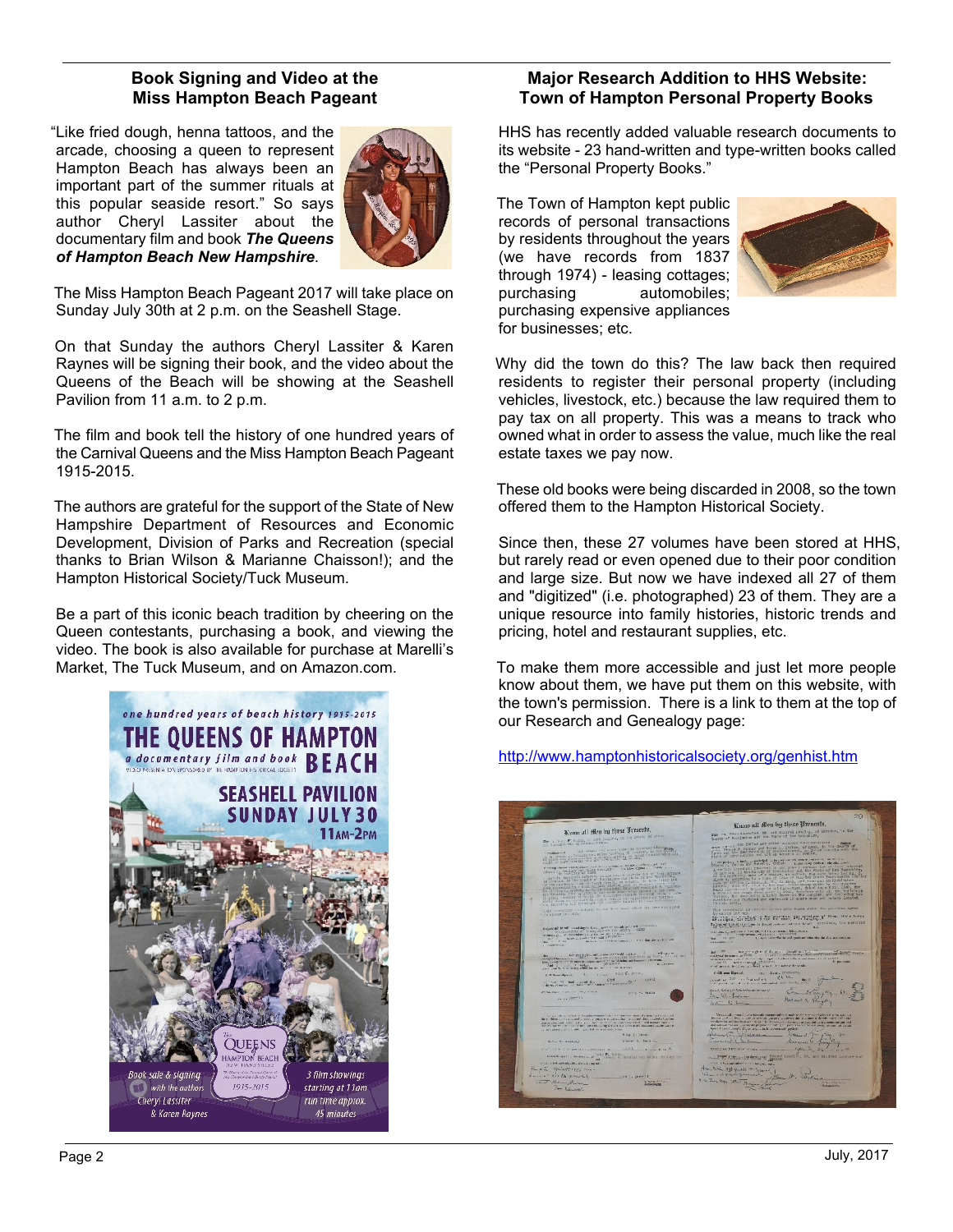## **Book Signing and Video at the Miss Hampton Beach Pageant**

"Like fried dough, henna tattoos, and the arcade, choosing a queen to represent Hampton Beach has always been an important part of the summer rituals at this popular seaside resort." So says author Cheryl Lassiter about the documentary film and book *The Queens of Hampton Beach New Hampshire*.



The Miss Hampton Beach Pageant 2017 will take place on Sunday July 30th at 2 p.m. on the Seashell Stage.

On that Sunday the authors Cheryl Lassiter & Karen Raynes will be signing their book, and the video about the Queens of the Beach will be showing at the Seashell Pavilion from 11 a.m. to 2 p.m.

The film and book tell the history of one hundred years of the Carnival Queens and the Miss Hampton Beach Pageant 1915-2015.

The authors are grateful for the support of the State of New Hampshire Department of Resources and Economic Development, Division of Parks and Recreation (special thanks to Brian Wilson & Marianne Chaisson!); and the Hampton Historical Society/Tuck Museum.

Be a part of this iconic beach tradition by cheering on the Queen contestants, purchasing a book, and viewing the video. The book is also available for purchase at Marelli's Market, The Tuck Museum, and on Amazon.com.



### **Major Research Addition to HHS Website: Town of Hampton Personal Property Books**

HHS has recently added valuable research documents to its website - 23 hand-written and type-written books called the "Personal Property Books."

The Town of Hampton kept public records of personal transactions by residents throughout the years (we have records from 1837 through 1974) - leasing cottages;<br>purchasing automobiles; automobiles; purchasing expensive appliances for businesses; etc.



Why did the town do this? The law back then required residents to register their personal property (including vehicles, livestock, etc.) because the law required them to pay tax on all property. This was a means to track who owned what in order to assess the value, much like the real estate taxes we pay now.

These old books were being discarded in 2008, so the town offered them to the Hampton Historical Society.

Since then, these 27 volumes have been stored at HHS, but rarely read or even opened due to their poor condition and large size. But now we have indexed all 27 of them and "digitized" (i.e. photographed) 23 of them. They are a unique resource into family histories, historic trends and pricing, hotel and restaurant supplies, etc.

To make them more accessible and just let more people know about them, we have put them on this website, with the town's permission. There is a link to them at the top of our Research and Genealogy page:

<http://www.hamptonhistoricalsociety.org/genhist.htm>

Know all filen by these Pres Konn all filen by firent Preuent heavy of the follow and other collection would be a property of the collection of the collection of the collection of the collection of the collection of the collection of the collection of the collection of the collection Burgar and so as seems woulder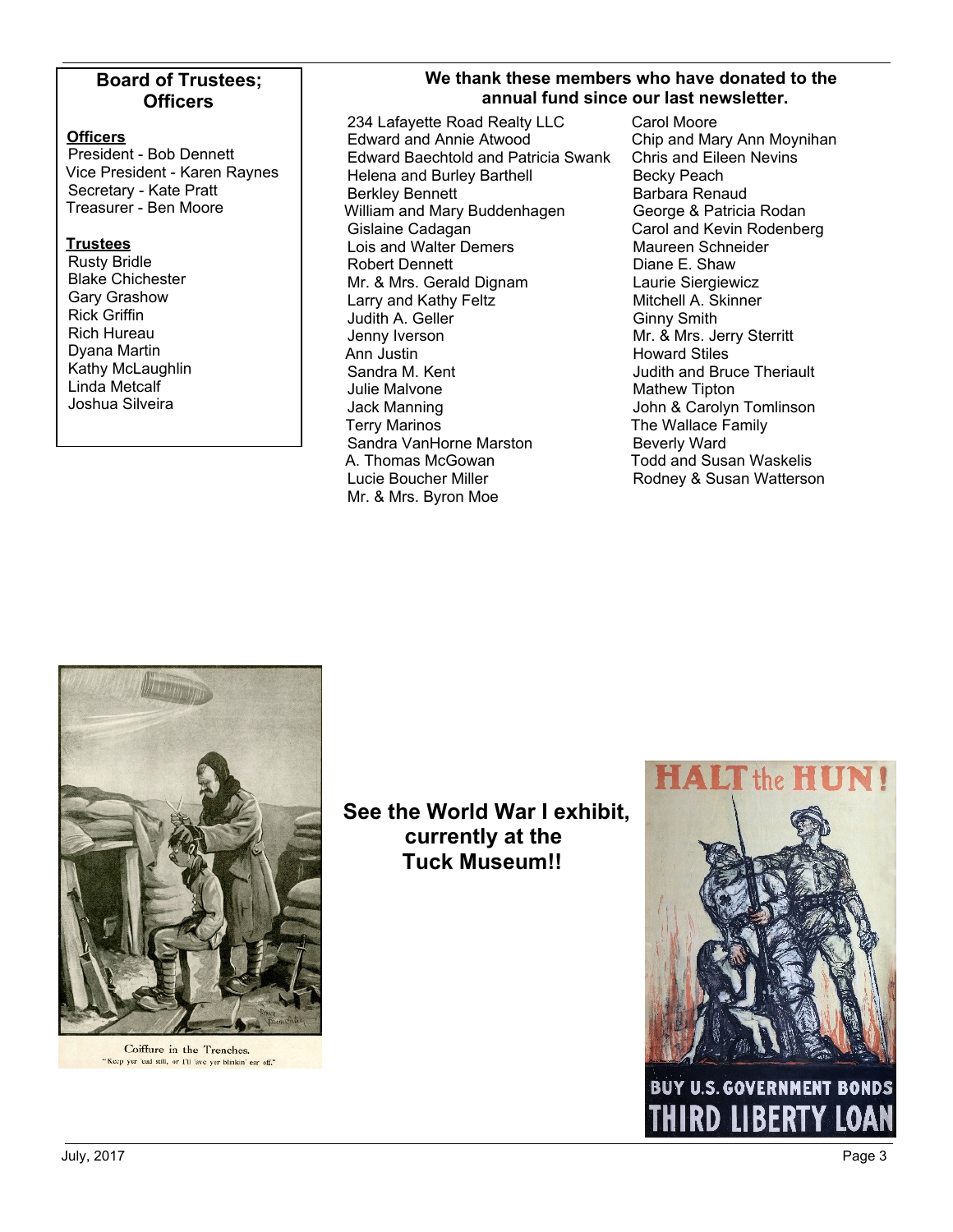## **Board of Trustees; Officers**

#### **Officers**

President - Bob Dennett Vice President - Karen Raynes Secretary - Kate Pratt Treasurer - Ben Moore

#### **Trustees**

Rusty Bridle Blake Chichester Gary Grashow Rick Griffin Rich Hureau Dyana Martin Kathy McLaughlin Linda Metcalf Joshua Silveira

## **We thank these members who have donated to the annual fund since our last newsletter.**

234 Lafayette Road Realty LLC Edward and Annie Atwood Edward Baechtold and Patricia Swank Helena and Burley Barthell Berkley Bennett William and Mary Buddenhagen Gislaine Cadagan Lois and Walter Demers Robert Dennett Mr. & Mrs. Gerald Dignam Larry and Kathy Feltz Judith A. Geller Jenny Iverson Ann Justin Sandra M. Kent Julie Malvone Jack Manning Terry Marinos Sandra VanHorne Marston A. Thomas McGowan Lucie Boucher Miller Mr. & Mrs. Byron Moe

Carol Moore Chip and Mary Ann Moynihan Chris and Eileen Nevins Becky Peach Barbara Renaud George & Patricia Rodan Carol and Kevin Rodenberg Maureen Schneider Diane E. Shaw Laurie Siergiewicz Mitchell A. Skinner Ginny Smith Mr. & Mrs. Jerry Sterritt Howard Stiles Judith and Bruce Theriault Mathew Tipton John & Carolyn Tomlinson The Wallace Family Beverly Ward Todd and Susan Waskelis Rodney & Susan Watterson



**See the World War I exhibit, currently at the Tuck Museum!!**